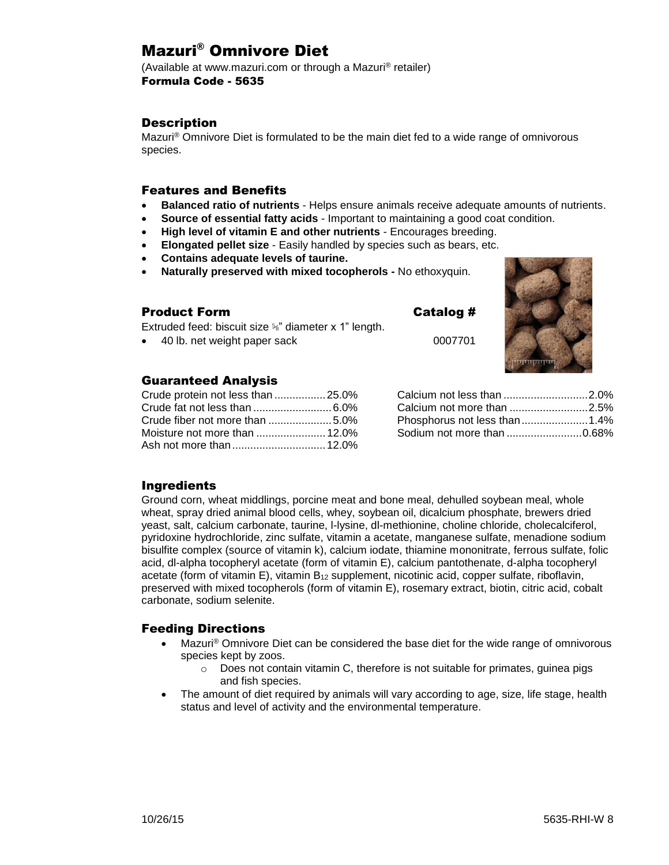# Mazuri® Omnivore Diet

(Available at www.mazuri.com or through a Mazuri® retailer) Formula Code - 5635

### **Description**

Mazuri® Omnivore Diet is formulated to be the main diet fed to a wide range of omnivorous species.

### Features and Benefits

- **Balanced ratio of nutrients** Helps ensure animals receive adequate amounts of nutrients.
- **Source of essential fatty acids** Important to maintaining a good coat condition.
- **High level of vitamin E and other nutrients** Encourages breeding.
- **Elongated pellet size** Easily handled by species such as bears, etc.
- **Contains adequate levels of taurine.**

Extruded feed: biscuit size ⅝" diameter x 1" length.

**Naturally preserved with mixed tocopherols -** No ethoxyquin.

• 40 lb. net weight paper sack 0007701

### Product Form Catalog #



### Guaranteed Analysis

| Crude protein not less than  25.0% |  |
|------------------------------------|--|
|                                    |  |
|                                    |  |
|                                    |  |
|                                    |  |

| Calcium not less than 2.0%   |  |
|------------------------------|--|
| Calcium not more than 2.5%   |  |
| Phosphorus not less than1.4% |  |
| Sodium not more than 0.68%   |  |
|                              |  |

### Ingredients

Ground corn, wheat middlings, porcine meat and bone meal, dehulled soybean meal, whole wheat, spray dried animal blood cells, whey, soybean oil, dicalcium phosphate, brewers dried yeast, salt, calcium carbonate, taurine, l-lysine, dl-methionine, choline chloride, cholecalciferol, pyridoxine hydrochloride, zinc sulfate, vitamin a acetate, manganese sulfate, menadione sodium bisulfite complex (source of vitamin k), calcium iodate, thiamine mononitrate, ferrous sulfate, folic acid, dl-alpha tocopheryl acetate (form of vitamin E), calcium pantothenate, d-alpha tocopheryl acetate (form of vitamin E), vitamin B<sub>12</sub> supplement, nicotinic acid, copper sulfate, riboflavin, preserved with mixed tocopherols (form of vitamin E), rosemary extract, biotin, citric acid, cobalt carbonate, sodium selenite.

### Feeding Directions

- Mazuri<sup>®</sup> Omnivore Diet can be considered the base diet for the wide range of omnivorous species kept by zoos.
	- $\circ$  Does not contain vitamin C, therefore is not suitable for primates, guinea pigs and fish species.
- The amount of diet required by animals will vary according to age, size, life stage, health status and level of activity and the environmental temperature.